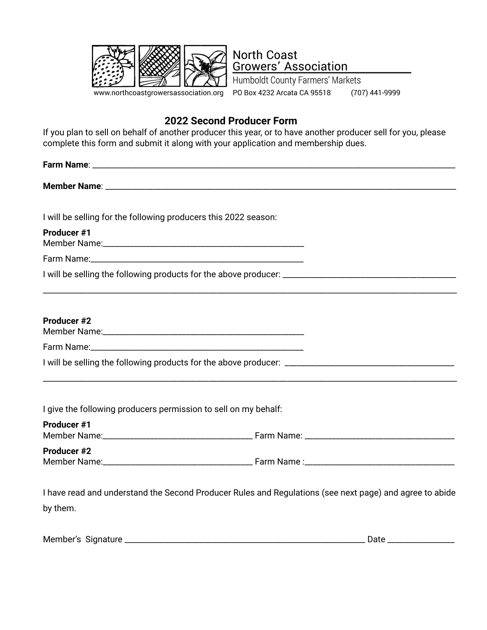

**North Coast Growers' Association** Humboldt County Farmers' Markets

PO Box 4232 Arcata CA 95518 (707) 441-9999

## **2022 Second Producer Form**

**Member Name**: \_\_\_\_\_\_\_\_\_\_\_\_\_\_\_\_\_\_\_\_\_\_\_\_\_\_\_\_\_\_\_\_\_\_\_\_\_\_\_\_\_\_\_\_\_\_\_\_\_\_\_\_\_\_\_\_\_\_\_\_\_\_\_\_\_\_\_\_\_\_\_\_\_\_\_\_\_\_\_\_\_\_\_\_\_\_\_\_\_

If you plan to sell on behalf of another producer this year, or to have another producer sell for you, please complete this form and submit it along with your application and membership dues.

**Farm Name:**  $\blacksquare$ 

I will be selling for the following producers this 2022 season:

**Producer #1**

Member Name:

Farm Name:

I will be selling the following products for the above producer: \_\_\_\_\_\_\_\_\_\_\_\_\_\_\_\_\_\_\_\_\_\_\_\_\_\_\_\_\_\_\_\_\_\_\_\_\_\_\_\_\_\_\_\_

### **Producer #2**

| Member Name: |
|--------------|
|--------------|

Farm Name:\_\_\_\_\_\_\_\_\_\_\_\_\_\_\_\_\_\_\_\_\_\_\_\_\_\_\_\_\_\_\_\_\_\_\_\_\_\_\_\_\_\_\_\_\_\_\_\_\_\_\_\_\_\_

I will be selling the following products for the above producer: \_\_\_\_\_\_\_\_\_\_\_\_\_\_\_\_\_\_\_\_\_\_\_\_\_\_\_\_\_\_\_\_\_\_\_\_\_\_\_\_\_\_\_

I give the following producers permission to sell on my behalf:

#### **Producer #1**

Member Name:\_\_\_\_\_\_\_\_\_\_\_\_\_\_\_\_\_\_\_\_\_\_\_\_\_\_\_\_\_\_\_\_\_\_\_\_\_\_ Farm Name: \_\_\_\_\_\_\_\_\_\_\_\_\_\_\_\_\_\_\_\_\_\_\_\_\_\_\_\_\_\_\_\_\_\_\_\_\_\_

\_\_\_\_\_\_\_\_\_\_\_\_\_\_\_\_\_\_\_\_\_\_\_\_\_\_\_\_\_\_\_\_\_\_\_\_\_\_\_\_\_\_\_\_\_\_\_\_\_\_\_\_\_\_\_\_\_\_\_\_\_\_\_\_\_\_\_\_\_\_\_\_\_\_\_\_\_\_\_\_\_\_\_\_\_\_\_\_\_\_\_\_\_\_\_\_\_\_\_\_\_\_\_\_\_

\_\_\_\_\_\_\_\_\_\_\_\_\_\_\_\_\_\_\_\_\_\_\_\_\_\_\_\_\_\_\_\_\_\_\_\_\_\_\_\_\_\_\_\_\_\_\_\_\_\_\_\_\_\_\_\_\_\_\_\_\_\_\_\_\_\_\_\_\_\_\_\_\_\_\_\_\_\_\_\_\_\_\_\_\_\_\_\_\_\_\_\_\_\_\_\_\_\_\_\_\_\_\_\_\_

**Producer #2**

Member Name: which contribute the set of the set of the Samuel Section 1 and the set of the Samuel Section 1 and  $\mathbb{R}$ 

I have read and understand the Second Producer Rules and Regulations (see next page) and agree to abide by them.

Member's Signature \_\_\_\_\_\_\_\_\_\_\_\_\_\_\_\_\_\_\_\_\_\_\_\_\_\_\_\_\_\_\_\_\_\_\_\_\_\_\_\_\_\_\_\_\_\_\_\_\_\_\_\_\_\_\_\_\_\_\_\_\_ Date \_\_\_\_\_\_\_\_\_\_\_\_\_\_\_\_\_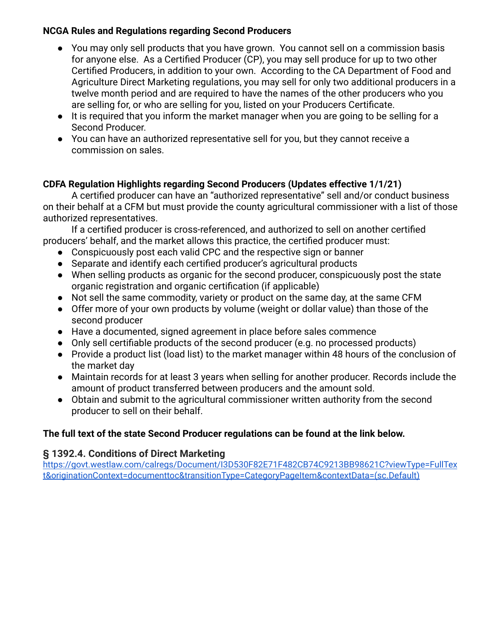## **NCGA Rules and Regulations regarding Second Producers**

- You may only sell products that you have grown. You cannot sell on a commission basis for anyone else. As a Certified Producer (CP), you may sell produce for up to two other Certified Producers, in addition to your own. According to the CA Department of Food and Agriculture Direct Marketing regulations, you may sell for only two additional producers in a twelve month period and are required to have the names of the other producers who you are selling for, or who are selling for you, listed on your Producers Certificate.
- It is required that you inform the market manager when you are going to be selling for a Second Producer.
- You can have an authorized representative sell for you, but they cannot receive a commission on sales.

# **CDFA Regulation Highlights regarding Second Producers (Updates effective 1/1/21)**

A certified producer can have an "authorized representative" sell and/or conduct business on their behalf at a CFM but must provide the county agricultural commissioner with a list of those authorized representatives.

If a certified producer is cross-referenced, and authorized to sell on another certified producers' behalf, and the market allows this practice, the certified producer must:

- Conspicuously post each valid CPC and the respective sign or banner
- Separate and identify each certified producer's agricultural products
- When selling products as organic for the second producer, conspicuously post the state organic registration and organic certification (if applicable)
- Not sell the same commodity, variety or product on the same day, at the same CFM
- Offer more of your own products by volume (weight or dollar value) than those of the second producer
- Have a documented, signed agreement in place before sales commence
- Only sell certifiable products of the second producer (e.g. no processed products)
- Provide a product list (load list) to the market manager within 48 hours of the conclusion of the market day
- Maintain records for at least 3 years when selling for another producer. Records include the amount of product transferred between producers and the amount sold.
- Obtain and submit to the agricultural commissioner written authority from the second producer to sell on their behalf.

# **The full text of the state Second Producer regulations can be found at the link below.**

## **§ 1392.4. Conditions of Direct Marketing**

[https://govt.westlaw.com/calregs/Document/I3D530F82E71F482CB74C9213BB98621C?viewType=FullTex](https://govt.westlaw.com/calregs/Document/I3D530F82E71F482CB74C9213BB98621C?viewType=FullText&originationContext=documenttoc&transitionType=CategoryPageItem&contextData=(sc.Default)) [t&originationContext=documenttoc&transitionType=CategoryPageItem&contextData=\(sc.Default\)](https://govt.westlaw.com/calregs/Document/I3D530F82E71F482CB74C9213BB98621C?viewType=FullText&originationContext=documenttoc&transitionType=CategoryPageItem&contextData=(sc.Default))